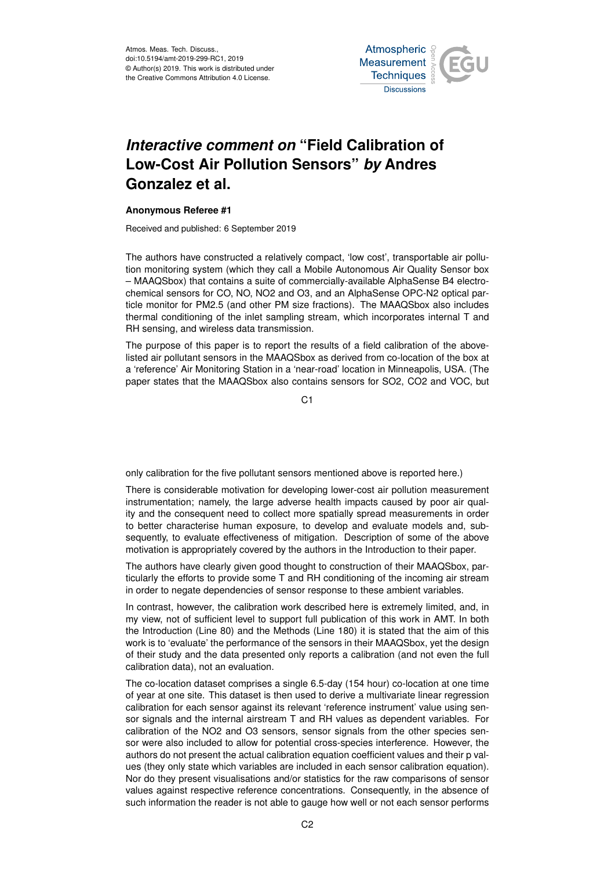Atmos. Meas. Tech. Discuss., doi:10.5194/amt-2019-299-RC1, 2019 © Author(s) 2019. This work is distributed under the Creative Commons Attribution 4.0 License.



## *Interactive comment on* **"Field Calibration of Low-Cost Air Pollution Sensors"** *by* **Andres Gonzalez et al.**

## **Anonymous Referee #1**

Received and published: 6 September 2019

The authors have constructed a relatively compact, 'low cost', transportable air pollution monitoring system (which they call a Mobile Autonomous Air Quality Sensor box – MAAQSbox) that contains a suite of commercially-available AlphaSense B4 electrochemical sensors for CO, NO, NO2 and O3, and an AlphaSense OPC-N2 optical particle monitor for PM2.5 (and other PM size fractions). The MAAQSbox also includes thermal conditioning of the inlet sampling stream, which incorporates internal T and RH sensing, and wireless data transmission.

The purpose of this paper is to report the results of a field calibration of the abovelisted air pollutant sensors in the MAAQSbox as derived from co-location of the box at a 'reference' Air Monitoring Station in a 'near-road' location in Minneapolis, USA. (The paper states that the MAAQSbox also contains sensors for SO2, CO2 and VOC, but

C<sub>1</sub>

only calibration for the five pollutant sensors mentioned above is reported here.)

There is considerable motivation for developing lower-cost air pollution measurement instrumentation; namely, the large adverse health impacts caused by poor air quality and the consequent need to collect more spatially spread measurements in order to better characterise human exposure, to develop and evaluate models and, subsequently, to evaluate effectiveness of mitigation. Description of some of the above motivation is appropriately covered by the authors in the Introduction to their paper.

The authors have clearly given good thought to construction of their MAAQSbox, particularly the efforts to provide some T and RH conditioning of the incoming air stream in order to negate dependencies of sensor response to these ambient variables.

In contrast, however, the calibration work described here is extremely limited, and, in my view, not of sufficient level to support full publication of this work in AMT. In both the Introduction (Line 80) and the Methods (Line 180) it is stated that the aim of this work is to 'evaluate' the performance of the sensors in their MAAQSbox, yet the design of their study and the data presented only reports a calibration (and not even the full calibration data), not an evaluation.

The co-location dataset comprises a single 6.5-day (154 hour) co-location at one time of year at one site. This dataset is then used to derive a multivariate linear regression calibration for each sensor against its relevant 'reference instrument' value using sensor signals and the internal airstream T and RH values as dependent variables. For calibration of the NO2 and O3 sensors, sensor signals from the other species sensor were also included to allow for potential cross-species interference. However, the authors do not present the actual calibration equation coefficient values and their p values (they only state which variables are included in each sensor calibration equation). Nor do they present visualisations and/or statistics for the raw comparisons of sensor values against respective reference concentrations. Consequently, in the absence of such information the reader is not able to gauge how well or not each sensor performs